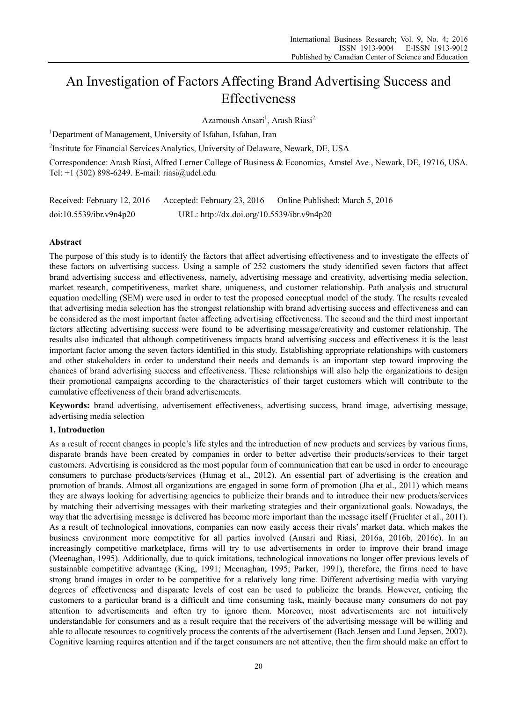# An Investigation of Factors Affecting Brand Advertising Success and Effectiveness

Azarnoush Ansari<sup>1</sup>, Arash Riasi<sup>2</sup>

<sup>1</sup>Department of Management, University of Isfahan, Isfahan, Iran

<sup>2</sup>Institute for Financial Services Analytics, University of Delaware, Newark, DE, USA

Correspondence: Arash Riasi, Alfred Lerner College of Business & Economics, Amstel Ave., Newark, DE, 19716, USA. Tel: +1 (302) 898-6249. E-mail: riasi@udel.edu

| Received: February 12, 2016 | Accepted: February 23, 2016                | Online Published: March 5, 2016 |
|-----------------------------|--------------------------------------------|---------------------------------|
| doi:10.5539/ibr.v9n4p20     | URL: http://dx.doi.org/10.5539/ibr.v9n4p20 |                                 |

# **Abstract**

The purpose of this study is to identify the factors that affect advertising effectiveness and to investigate the effects of these factors on advertising success. Using a sample of 252 customers the study identified seven factors that affect brand advertising success and effectiveness, namely, advertising message and creativity, advertising media selection, market research, competitiveness, market share, uniqueness, and customer relationship. Path analysis and structural equation modelling (SEM) were used in order to test the proposed conceptual model of the study. The results revealed that advertising media selection has the strongest relationship with brand advertising success and effectiveness and can be considered as the most important factor affecting advertising effectiveness. The second and the third most important factors affecting advertising success were found to be advertising message/creativity and customer relationship. The results also indicated that although competitiveness impacts brand advertising success and effectiveness it is the least important factor among the seven factors identified in this study. Establishing appropriate relationships with customers and other stakeholders in order to understand their needs and demands is an important step toward improving the chances of brand advertising success and effectiveness. These relationships will also help the organizations to design their promotional campaigns according to the characteristics of their target customers which will contribute to the cumulative effectiveness of their brand advertisements.

**Keywords:** brand advertising, advertisement effectiveness, advertising success, brand image, advertising message, advertising media selection

# **1. Introduction**

As a result of recent changes in people's life styles and the introduction of new products and services by various firms, disparate brands have been created by companies in order to better advertise their products/services to their target customers. Advertising is considered as the most popular form of communication that can be used in order to encourage consumers to purchase products/services (Hunag et al., 2012). An essential part of advertising is the creation and promotion of brands. Almost all organizations are engaged in some form of promotion (Jha et al., 2011) which means they are always looking for advertising agencies to publicize their brands and to introduce their new products/services by matching their advertising messages with their marketing strategies and their organizational goals. Nowadays, the way that the advertising message is delivered has become more important than the message itself (Fruchter et al., 2011). As a result of technological innovations, companies can now easily access their rivals' market data, which makes the business environment more competitive for all parties involved (Ansari and Riasi, 2016a, 2016b, 2016c). In an increasingly competitive marketplace, firms will try to use advertisements in order to improve their brand image (Meenaghan, 1995). Additionally, due to quick imitations, technological innovations no longer offer previous levels of sustainable competitive advantage (King, 1991; Meenaghan, 1995; Parker, 1991), therefore, the firms need to have strong brand images in order to be competitive for a relatively long time. Different advertising media with varying degrees of effectiveness and disparate levels of cost can be used to publicize the brands. However, enticing the customers to a particular brand is a difficult and time consuming task, mainly because many consumers do not pay attention to advertisements and often try to ignore them. Moreover, most advertisements are not intuitively understandable for consumers and as a result require that the receivers of the advertising message will be willing and able to allocate resources to cognitively process the contents of the advertisement (Bach Jensen and Lund Jepsen, 2007). Cognitive learning requires attention and if the target consumers are not attentive, then the firm should make an effort to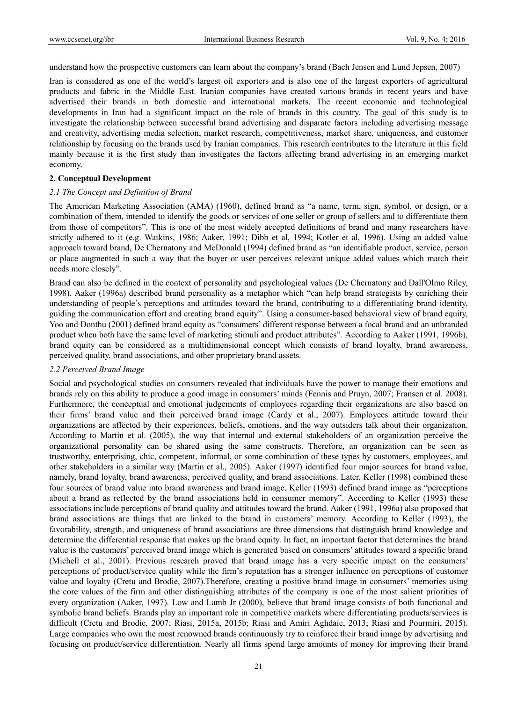understand how the prospective customers can learn about the company's brand (Bach Jensen and Lund Jepsen, 2007)

Iran is considered as one of the world's largest oil exporters and is also one of the largest exporters of agricultural products and fabric in the Middle East. Iranian companies have created various brands in recent years and have advertised their brands in both domestic and international markets. The recent economic and technological developments in Iran had a significant impact on the role of brands in this country. The goal of this study is to investigate the relationship between successful brand advertising and disparate factors including advertising message and creativity, advertising media selection, market research, competitiveness, market share, uniqueness, and customer relationship by focusing on the brands used by Iranian companies. This research contributes to the literature in this field mainly because it is the first study than investigates the factors affecting brand advertising in an emerging market economy.

# **2. Conceptual Development**

# *2.1 The Concept and Definition of Brand*

The American Marketing Association (AMA) (1960), defined brand as "a name, term, sign, symbol, or design, or a combination of them, intended to identify the goods or services of one seller or group of sellers and to differentiate them from those of competitors". This is one of the most widely accepted definitions of brand and many researchers have strictly adhered to it (e.g. Watkins, 1986; Aaker, 1991; Dibb et al, 1994; Kotler et al, 1996). Using an added value approach toward brand, De Chernatony and McDonald (1994) defined brand as "an identifiable product, service, person or place augmented in such a way that the buyer or user perceives relevant unique added values which match their needs more closely".

Brand can also be defined in the context of personality and psychological values (De Chernatony and Dall'Olmo Riley, 1998). Aaker (1996a) described brand personality as a metaphor which "can help brand strategists by enriching their understanding of people's perceptions and attitudes toward the brand, contributing to a differentiating brand identity, guiding the communication effort and creating brand equity". Using a consumer-based behavioral view of brand equity, Yoo and Donthu (2001) defined brand equity as "consumers' different response between a focal brand and an unbranded product when both have the same level of marketing stimuli and product attributes". According to Aaker (1991, 1996b), brand equity can be considered as a multidimensional concept which consists of brand loyalty, brand awareness, perceived quality, brand associations, and other proprietary brand assets.

# *2.2 Perceived Brand Image*

Social and psychological studies on consumers revealed that individuals have the power to manage their emotions and brands rely on this ability to produce a good image in consumers' minds (Fennis and Pruyn, 2007; Fransen et al. 2008). Furthermore, the conceptual and emotional judgements of employees regarding their organizations are also based on their firms' brand value and their perceived brand image (Cardy et al., 2007). Employees attitude toward their organizations are affected by their experiences, beliefs, emotions, and the way outsiders talk about their organization. According to Martin et al. (2005), the way that internal and external stakeholders of an organization perceive the organizational personality can be shared using the same constructs. Therefore, an organization can be seen as trustworthy, enterprising, chic, competent, informal, or some combination of these types by customers, employees, and other stakeholders in a similar way (Martin et al., 2005). Aaker (1997) identified four major sources for brand value, namely, brand loyalty, brand awareness, perceived quality, and brand associations. Later, Keller (1998) combined these four sources of brand value into brand awareness and brand image. Keller (1993) defined brand image as "perceptions about a brand as reflected by the brand associations held in consumer memory". According to Keller (1993) these associations include perceptions of brand quality and attitudes toward the brand. Aaker (1991, 1996a) also proposed that brand associations are things that are linked to the brand in customers' memory. According to Keller (1993), the favorability, strength, and uniqueness of brand associations are three dimensions that distinguish brand knowledge and determine the differential response that makes up the brand equity. In fact, an important factor that determines the brand value is the customers' perceived brand image which is generated based on consumers' attitudes toward a specific brand (Michell et al., 2001). Previous research proved that brand image has a very specific impact on the consumers' perceptions of product/service quality while the firm's reputation has a stronger influence on perceptions of customer value and loyalty (Cretu and Brodie, 2007).Therefore, creating a positive brand image in consumers' memories using the core values of the firm and other distinguishing attributes of the company is one of the most salient priorities of every organization (Aaker, 1997). Low and Lamb Jr (2000), believe that brand image consists of both functional and symbolic brand beliefs. Brands play an important role in competitive markets where differentiating products/services is difficult (Cretu and Brodie, 2007; Riasi, 2015a, 2015b; Riasi and Amiri Aghdaie, 2013; Riasi and Pourmiri, 2015). Large companies who own the most renowned brands continuously try to reinforce their brand image by advertising and focusing on product/service differentiation. Nearly all firms spend large amounts of money for improving their brand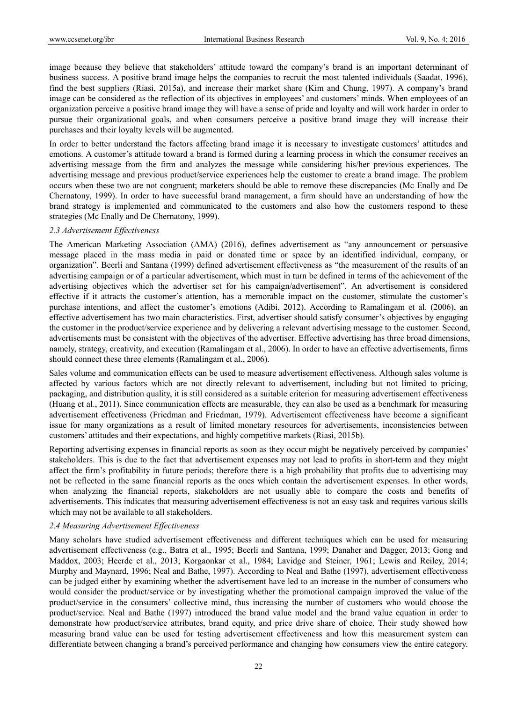image because they believe that stakeholders' attitude toward the company's brand is an important determinant of business success. A positive brand image helps the companies to recruit the most talented individuals (Saadat, 1996), find the best suppliers (Riasi, 2015a), and increase their market share (Kim and Chung, 1997). A company's brand image can be considered as the reflection of its objectives in employees' and customers' minds. When employees of an organization perceive a positive brand image they will have a sense of pride and loyalty and will work harder in order to pursue their organizational goals, and when consumers perceive a positive brand image they will increase their purchases and their loyalty levels will be augmented.

In order to better understand the factors affecting brand image it is necessary to investigate customers' attitudes and emotions. A customer's attitude toward a brand is formed during a learning process in which the consumer receives an advertising message from the firm and analyzes the message while considering his/her previous experiences. The advertising message and previous product/service experiences help the customer to create a brand image. The problem occurs when these two are not congruent; marketers should be able to remove these discrepancies (Mc Enally and De Chernatony, 1999). In order to have successful brand management, a firm should have an understanding of how the brand strategy is implemented and communicated to the customers and also how the customers respond to these strategies (Mc Enally and De Chernatony, 1999).

### *2.3 Advertisement Effectiveness*

The American Marketing Association (AMA) (2016), defines advertisement as "any announcement or persuasive message placed in the mass media in paid or donated time or space by an identified individual, company, or organization". Beerli and Santana (1999) defined advertisement effectiveness as "the measurement of the results of an advertising campaign or of a particular advertisement, which must in turn be defined in terms of the achievement of the advertising objectives which the advertiser set for his campaign/advertisement". An advertisement is considered effective if it attracts the customer's attention, has a memorable impact on the customer, stimulate the customer's purchase intentions, and affect the customer's emotions (Adibi, 2012). According to Ramalingam et al. (2006), an effective advertisement has two main characteristics. First, advertiser should satisfy consumer's objectives by engaging the customer in the product/service experience and by delivering a relevant advertising message to the customer. Second, advertisements must be consistent with the objectives of the advertiser. Effective advertising has three broad dimensions, namely, strategy, creativity, and execution (Ramalingam et al., 2006). In order to have an effective advertisements, firms should connect these three elements (Ramalingam et al., 2006).

Sales volume and communication effects can be used to measure advertisement effectiveness. Although sales volume is affected by various factors which are not directly relevant to advertisement, including but not limited to pricing, packaging, and distribution quality, it is still considered as a suitable criterion for measuring advertisement effectiveness (Huang et al., 2011). Since communication effects are measurable, they can also be used as a benchmark for measuring advertisement effectiveness (Friedman and Friedman, 1979). Advertisement effectiveness have become a significant issue for many organizations as a result of limited monetary resources for advertisements, inconsistencies between customers' attitudes and their expectations, and highly competitive markets (Riasi, 2015b).

Reporting advertising expenses in financial reports as soon as they occur might be negatively perceived by companies' stakeholders. This is due to the fact that advertisement expenses may not lead to profits in short-term and they might affect the firm's profitability in future periods; therefore there is a high probability that profits due to advertising may not be reflected in the same financial reports as the ones which contain the advertisement expenses. In other words, when analyzing the financial reports, stakeholders are not usually able to compare the costs and benefits of advertisements. This indicates that measuring advertisement effectiveness is not an easy task and requires various skills which may not be available to all stakeholders.

#### *2.4 Measuring Advertisement Effectiveness*

Many scholars have studied advertisement effectiveness and different techniques which can be used for measuring advertisement effectiveness (e.g., Batra et al., 1995; Beerli and Santana, 1999; Danaher and Dagger, 2013; Gong and Maddox, 2003; Heerde et al., 2013; Korgaonkar et al., 1984; Lavidge and Steiner, 1961; Lewis and Reiley, 2014; Murphy and Maynard, 1996; Neal and Bathe, 1997). According to Neal and Bathe (1997), advertisement effectiveness can be judged either by examining whether the advertisement have led to an increase in the number of consumers who would consider the product/service or by investigating whether the promotional campaign improved the value of the product/service in the consumers' collective mind, thus increasing the number of customers who would choose the product/service. Neal and Bathe (1997) introduced the brand value model and the brand value equation in order to demonstrate how product/service attributes, brand equity, and price drive share of choice. Their study showed how measuring brand value can be used for testing advertisement effectiveness and how this measurement system can differentiate between changing a brand's perceived performance and changing how consumers view the entire category.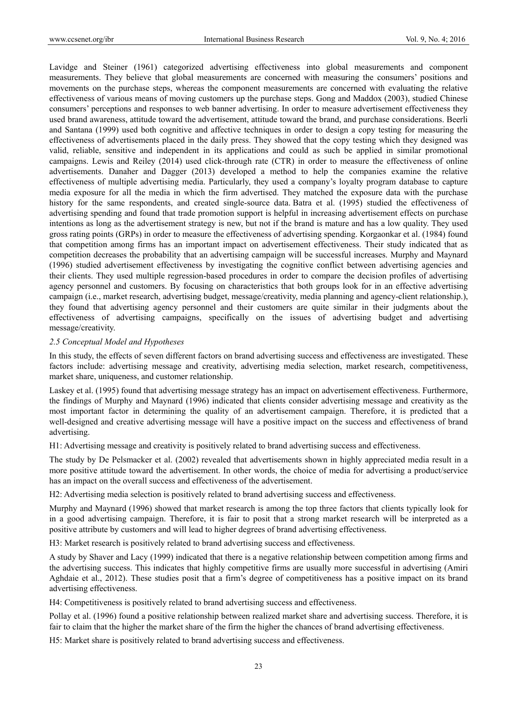Lavidge and Steiner (1961) categorized advertising effectiveness into global measurements and component measurements. They believe that global measurements are concerned with measuring the consumers' positions and movements on the purchase steps, whereas the component measurements are concerned with evaluating the relative effectiveness of various means of moving customers up the purchase steps. Gong and Maddox (2003), studied Chinese consumers' perceptions and responses to web banner advertising. In order to measure advertisement effectiveness they used brand awareness, attitude toward the advertisement, attitude toward the brand, and purchase considerations. Beerli and Santana (1999) used both cognitive and affective techniques in order to design a copy testing for measuring the effectiveness of advertisements placed in the daily press. They showed that the copy testing which they designed was valid, reliable, sensitive and independent in its applications and could as such be applied in similar promotional campaigns. Lewis and Reiley (2014) used click-through rate (CTR) in order to measure the effectiveness of online advertisements. Danaher and Dagger (2013) developed a method to help the companies examine the relative effectiveness of multiple advertising media. Particularly, they used a company's loyalty program database to capture media exposure for all the media in which the firm advertised. They matched the exposure data with the purchase history for the same respondents, and created single-source data. Batra et al. (1995) studied the effectiveness of advertising spending and found that trade promotion support is helpful in increasing advertisement effects on purchase intentions as long as the advertisement strategy is new, but not if the brand is mature and has a low quality. They used gross rating points (GRPs) in order to measure the effectiveness of advertising spending. Korgaonkar et al. (1984) found that competition among firms has an important impact on advertisement effectiveness. Their study indicated that as competition decreases the probability that an advertising campaign will be successful increases. Murphy and Maynard (1996) studied advertisement effectiveness by investigating the cognitive conflict between advertising agencies and their clients. They used multiple regression-based procedures in order to compare the decision profiles of advertising agency personnel and customers. By focusing on characteristics that both groups look for in an effective advertising campaign (i.e., market research, advertising budget, message/creativity, media planning and agency-client relationship.), they found that advertising agency personnel and their customers are quite similar in their judgments about the effectiveness of advertising campaigns, specifically on the issues of advertising budget and advertising message/creativity.

#### *2.5 Conceptual Model and Hypotheses*

In this study, the effects of seven different factors on brand advertising success and effectiveness are investigated. These factors include: advertising message and creativity, advertising media selection, market research, competitiveness, market share, uniqueness, and customer relationship.

Laskey et al. (1995) found that advertising message strategy has an impact on advertisement effectiveness. Furthermore, the findings of Murphy and Maynard (1996) indicated that clients consider advertising message and creativity as the most important factor in determining the quality of an advertisement campaign. Therefore, it is predicted that a well-designed and creative advertising message will have a positive impact on the success and effectiveness of brand advertising.

H1: Advertising message and creativity is positively related to brand advertising success and effectiveness.

The study by De Pelsmacker et al. (2002) revealed that advertisements shown in highly appreciated media result in a more positive attitude toward the advertisement. In other words, the choice of media for advertising a product/service has an impact on the overall success and effectiveness of the advertisement.

H2: Advertising media selection is positively related to brand advertising success and effectiveness.

Murphy and Maynard (1996) showed that market research is among the top three factors that clients typically look for in a good advertising campaign. Therefore, it is fair to posit that a strong market research will be interpreted as a positive attribute by customers and will lead to higher degrees of brand advertising effectiveness.

H3: Market research is positively related to brand advertising success and effectiveness.

A study by Shaver and Lacy (1999) indicated that there is a negative relationship between competition among firms and the advertising success. This indicates that highly competitive firms are usually more successful in advertising (Amiri Aghdaie et al., 2012). These studies posit that a firm's degree of competitiveness has a positive impact on its brand advertising effectiveness.

H4: Competitiveness is positively related to brand advertising success and effectiveness.

Pollay et al. (1996) found a positive relationship between realized market share and advertising success. Therefore, it is fair to claim that the higher the market share of the firm the higher the chances of brand advertising effectiveness.

H5: Market share is positively related to brand advertising success and effectiveness.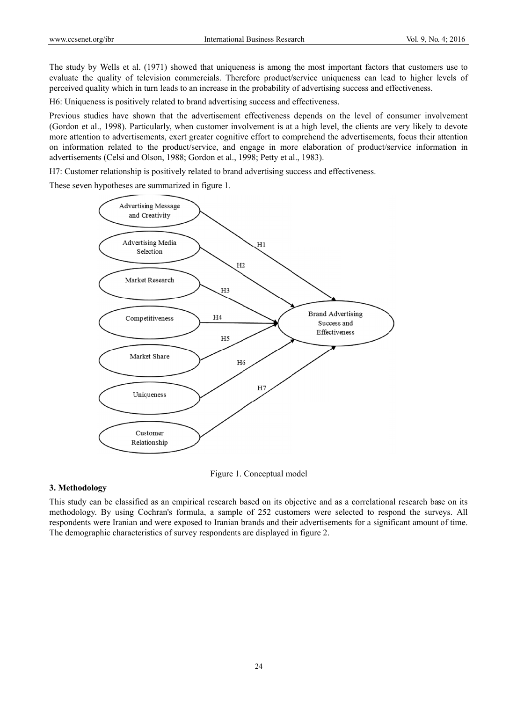The study by Wells et al. (1971) showed that uniqueness is among the most important factors that customers use to evaluate the quality of television commercials. Therefore product/service uniqueness can lead to higher levels of perceived quality which in turn leads to an increase in the probability of advertising success and effectiveness.

H6: Uniqueness is positively related to brand advertising success and effectiveness.

Previous studies have shown that the advertisement effectiveness depends on the level of consumer involvement (Gordon et al., 1998). Particularly, when customer involvement is at a high level, the clients are very likely to devote more attention to advertisements, exert greater cognitive effort to comprehend the advertisements, focus their attention on information related to the product/service, and engage in more elaboration of product/service information in advertisements (Celsi and Olson, 1988; Gordon et al., 1998; Petty et al., 1983).

H7: Customer relationship is positively related to brand advertising success and effectiveness.

These seven hypotheses are summarized in figure 1.



Figure 1. Conceptual model

# 3. Methodology

This study can be classified as an empirical research based on its objective and as a correlational research base on its methodology. By using Cochran's formula, a sample of 252 customers were selected to respond the surveys. All respondents were Iranian and were exposed to Iranian brands and their advertisements for a significant amount of time. The demographic characteristics of survey respondents are displayed in figure 2.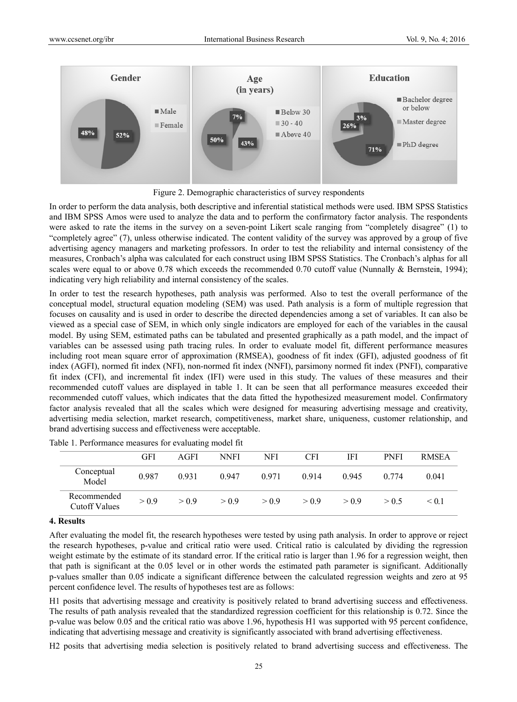

Figure 2. Demographic characteristics of survey respondents

In order to perform the data analysis, both descriptive and inferential statistical methods were used. IBM SPSS Statistics and IBM SPSS Amos were used to analyze the data and to perform the confirmatory factor analysis. The respondents were asked to rate the items in the survey on a seven-point Likert scale ranging from "completely disagree" (1) to "completely agree" (7), unless otherwise indicated. The content validity of the survey was approved by a group of five advertising agency managers and marketing professors. In order to test the reliability and internal consistency of the measures, Cronbach's alpha was calculated for each construct using IBM SPSS Statistics. The Cronbach's alphas for all scales were equal to or above 0.78 which exceeds the recommended 0.70 cutoff value (Nunnally & Bernstein, 1994); indicating very high reliability and internal consistency of the scales.

In order to test the research hypotheses, path analysis was performed. Also to test the overall performance of the conceptual model, structural equation modeling (SEM) was used. Path analysis is a form of multiple regression that focuses on causality and is used in order to describe the directed dependencies among a set of variables. It can also be viewed as a special case of SEM, in which only single indicators are employed for each of the variables in the causal model. By using SEM, estimated paths can be tabulated and presented graphically as a path model, and the impact of variables can be assessed using path tracing rules. In order to evaluate model fit, different performance measures including root mean square error of approximation (RMSEA), goodness of fit index (GFI), adjusted goodness of fit index (AGFI), normed fit index (NFI), non-normed fit index (NNFI), parsimony normed fit index (PNFI), comparative fit index (CFI), and incremental fit index (IFI) were used in this study. The values of these measures and their recommended cutoff values are displayed in table 1. It can be seen that all performance measures exceeded their recommended cutoff values, which indicates that the data fitted the hypothesized measurement model. Confirmatory factor analysis revealed that all the scales which were designed for measuring advertising message and creativity, advertising media selection, market research, competitiveness, market share, uniqueness, customer relationship, and brand advertising success and effectiveness were acceptable.

|                                     | <b>GFI</b> | AGFI  | <b>NNFI</b> | <b>NFI</b> | <b>CFI</b> | IFI   | <b>PNFI</b> | <b>RMSEA</b> |
|-------------------------------------|------------|-------|-------------|------------|------------|-------|-------------|--------------|
| Conceptual<br>Model                 | 0.987      | 0.931 | 0.947       | 0.971      | 0.914      | 0.945 | 0.774       | 0.041        |
| Recommended<br><b>Cutoff Values</b> | > 0.9      | > 0.9 | > 0.9       | > 0.9      | > 0.9      | > 0.9 | > 0.5       | ${}_{0.1}$   |
|                                     |            |       |             |            |            |       |             |              |

Table 1. Performance measures for evaluating model fit

#### 4. Results

After evaluating the model fit, the research hypotheses were tested by using path analysis. In order to approve or reject the research hypotheses, p-value and critical ratio were used. Critical ratio is calculated by dividing the regression weight estimate by the estimate of its standard error. If the critical ratio is larger than 1.96 for a regression weight, then that path is significant at the 0.05 level or in other words the estimated path parameter is significant. Additionally p-values smaller than 0.05 indicate a significant difference between the calculated regression weights and zero at 95 percent confidence level. The results of hypotheses test are as follows:

H<sub>1</sub> posits that advertising message and creativity is positively related to brand advertising success and effectiveness. The results of path analysis revealed that the standardized regression coefficient for this relationship is 0.72. Since the p-value was below 0.05 and the critical ratio was above 1.96, hypothesis H1 was supported with 95 percent confidence, indicating that advertising message and creativity is significantly associated with brand advertising effectiveness.

H<sub>2</sub> posits that advertising media selection is positively related to brand advertising success and effectiveness. The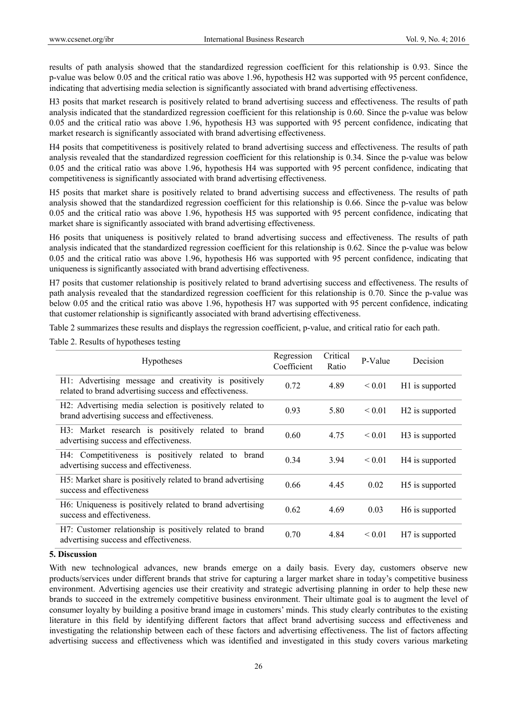results of path analysis showed that the standardized regression coefficient for this relationship is 0.93. Since the p-value was below 0.05 and the critical ratio was above 1.96, hypothesis H2 was supported with 95 percent confidence, indicating that advertising media selection is significantly associated with brand advertising effectiveness.

H3 posits that market research is positively related to brand advertising success and effectiveness. The results of path analysis indicated that the standardized regression coefficient for this relationship is 0.60. Since the p-value was below 0.05 and the critical ratio was above 1.96, hypothesis H3 was supported with 95 percent confidence, indicating that market research is significantly associated with brand advertising effectiveness.

H4 posits that competitiveness is positively related to brand advertising success and effectiveness. The results of path analysis revealed that the standardized regression coefficient for this relationship is 0.34. Since the p-value was below 0.05 and the critical ratio was above 1.96, hypothesis H4 was supported with 95 percent confidence, indicating that competitiveness is significantly associated with brand advertising effectiveness.

H5 posits that market share is positively related to brand advertising success and effectiveness. The results of path analysis showed that the standardized regression coefficient for this relationship is 0.66. Since the p-value was below 0.05 and the critical ratio was above 1.96, hypothesis H5 was supported with 95 percent confidence, indicating that market share is significantly associated with brand advertising effectiveness.

H6 posits that uniqueness is positively related to brand advertising success and effectiveness. The results of path analysis indicated that the standardized regression coefficient for this relationship is 0.62. Since the p-value was below 0.05 and the critical ratio was above 1.96, hypothesis H6 was supported with 95 percent confidence, indicating that uniqueness is significantly associated with brand advertising effectiveness.

H7 posits that customer relationship is positively related to brand advertising success and effectiveness. The results of path analysis revealed that the standardized regression coefficient for this relationship is 0.70. Since the p-value was below 0.05 and the critical ratio was above 1.96, hypothesis H7 was supported with 95 percent confidence, indicating that customer relationship is significantly associated with brand advertising effectiveness.

Table 2 summarizes these results and displays the regression coefficient, p-value, and critical ratio for each path.

| <b>Hypotheses</b>                                                                                               | Regression<br>Coefficient | Critical<br>Ratio | P-Value     | Decision                    |
|-----------------------------------------------------------------------------------------------------------------|---------------------------|-------------------|-------------|-----------------------------|
| H1: Advertising message and creativity is positively<br>related to brand advertising success and effectiveness. | 0.72                      | 4.89              | ${}_{0.01}$ | H1 is supported             |
| H2: Advertising media selection is positively related to<br>brand advertising success and effectiveness.        | 0.93                      | 5.80              | ${}_{0.01}$ | H <sub>2</sub> is supported |
| H3: Market research is positively related to<br>brand<br>advertising success and effectiveness.                 | 0.60                      | 4.75              | ${}_{0.01}$ | H <sub>3</sub> is supported |
| H4: Competitiveness is positively related to<br>brand<br>advertising success and effectiveness.                 | 0.34                      | 3.94              | ${}_{0.01}$ | H <sub>4</sub> is supported |
| H5: Market share is positively related to brand advertising<br>success and effectiveness                        | 0.66                      | 4.45              | 0.02        | H <sub>5</sub> is supported |
| H6: Uniqueness is positively related to brand advertising<br>success and effectiveness.                         | 0.62                      | 4.69              | 0.03        | H <sub>6</sub> is supported |
| H7: Customer relationship is positively related to brand<br>advertising success and effectiveness.              | 0.70                      | 4.84              | ${}_{0.01}$ | H <sub>7</sub> is supported |

# **5. Discussion**

With new technological advances, new brands emerge on a daily basis. Every day, customers observe new products/services under different brands that strive for capturing a larger market share in today's competitive business environment. Advertising agencies use their creativity and strategic advertising planning in order to help these new brands to succeed in the extremely competitive business environment. Their ultimate goal is to augment the level of consumer loyalty by building a positive brand image in customers' minds. This study clearly contributes to the existing literature in this field by identifying different factors that affect brand advertising success and effectiveness and investigating the relationship between each of these factors and advertising effectiveness. The list of factors affecting advertising success and effectiveness which was identified and investigated in this study covers various marketing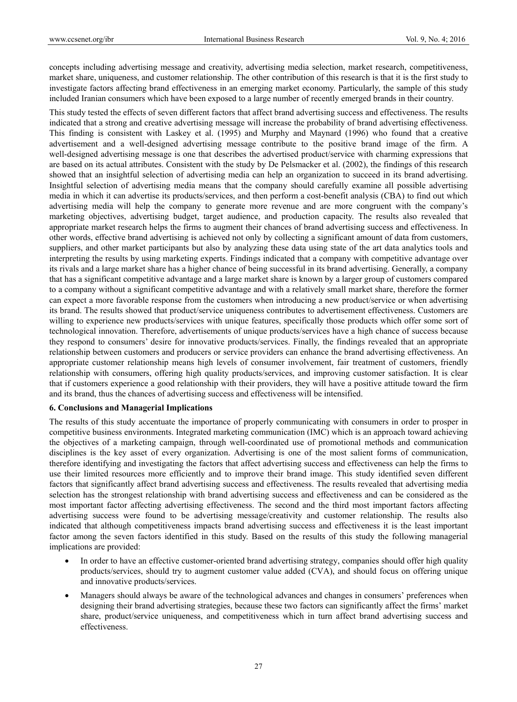concepts including advertising message and creativity, advertising media selection, market research, competitiveness, market share, uniqueness, and customer relationship. The other contribution of this research is that it is the first study to investigate factors affecting brand effectiveness in an emerging market economy. Particularly, the sample of this study included Iranian consumers which have been exposed to a large number of recently emerged brands in their country.

This study tested the effects of seven different factors that affect brand advertising success and effectiveness. The results indicated that a strong and creative advertising message will increase the probability of brand advertising effectiveness. This finding is consistent with Laskey et al. (1995) and Murphy and Maynard (1996) who found that a creative advertisement and a well-designed advertising message contribute to the positive brand image of the firm. A well-designed advertising message is one that describes the advertised product/service with charming expressions that are based on its actual attributes. Consistent with the study by De Pelsmacker et al. (2002), the findings of this research showed that an insightful selection of advertising media can help an organization to succeed in its brand advertising. Insightful selection of advertising media means that the company should carefully examine all possible advertising media in which it can advertise its products/services, and then perform a cost-benefit analysis (CBA) to find out which advertising media will help the company to generate more revenue and are more congruent with the company's marketing objectives, advertising budget, target audience, and production capacity. The results also revealed that appropriate market research helps the firms to augment their chances of brand advertising success and effectiveness. In other words, effective brand advertising is achieved not only by collecting a significant amount of data from customers, suppliers, and other market participants but also by analyzing these data using state of the art data analytics tools and interpreting the results by using marketing experts. Findings indicated that a company with competitive advantage over its rivals and a large market share has a higher chance of being successful in its brand advertising. Generally, a company that has a significant competitive advantage and a large market share is known by a larger group of customers compared to a company without a significant competitive advantage and with a relatively small market share, therefore the former can expect a more favorable response from the customers when introducing a new product/service or when advertising its brand. The results showed that product/service uniqueness contributes to advertisement effectiveness. Customers are willing to experience new products/services with unique features, specifically those products which offer some sort of technological innovation. Therefore, advertisements of unique products/services have a high chance of success because they respond to consumers' desire for innovative products/services. Finally, the findings revealed that an appropriate relationship between customers and producers or service providers can enhance the brand advertising effectiveness. An appropriate customer relationship means high levels of consumer involvement, fair treatment of customers, friendly relationship with consumers, offering high quality products/services, and improving customer satisfaction. It is clear that if customers experience a good relationship with their providers, they will have a positive attitude toward the firm and its brand, thus the chances of advertising success and effectiveness will be intensified.

# **6. Conclusions and Managerial Implications**

The results of this study accentuate the importance of properly communicating with consumers in order to prosper in competitive business environments. Integrated marketing communication (IMC) which is an approach toward achieving the objectives of a marketing campaign, through well-coordinated use of promotional methods and communication disciplines is the key asset of every organization. Advertising is one of the most salient forms of communication, therefore identifying and investigating the factors that affect advertising success and effectiveness can help the firms to use their limited resources more efficiently and to improve their brand image. This study identified seven different factors that significantly affect brand advertising success and effectiveness. The results revealed that advertising media selection has the strongest relationship with brand advertising success and effectiveness and can be considered as the most important factor affecting advertising effectiveness. The second and the third most important factors affecting advertising success were found to be advertising message/creativity and customer relationship. The results also indicated that although competitiveness impacts brand advertising success and effectiveness it is the least important factor among the seven factors identified in this study. Based on the results of this study the following managerial implications are provided:

- In order to have an effective customer-oriented brand advertising strategy, companies should offer high quality products/services, should try to augment customer value added (CVA), and should focus on offering unique and innovative products/services.
- Managers should always be aware of the technological advances and changes in consumers' preferences when designing their brand advertising strategies, because these two factors can significantly affect the firms' market share, product/service uniqueness, and competitiveness which in turn affect brand advertising success and effectiveness.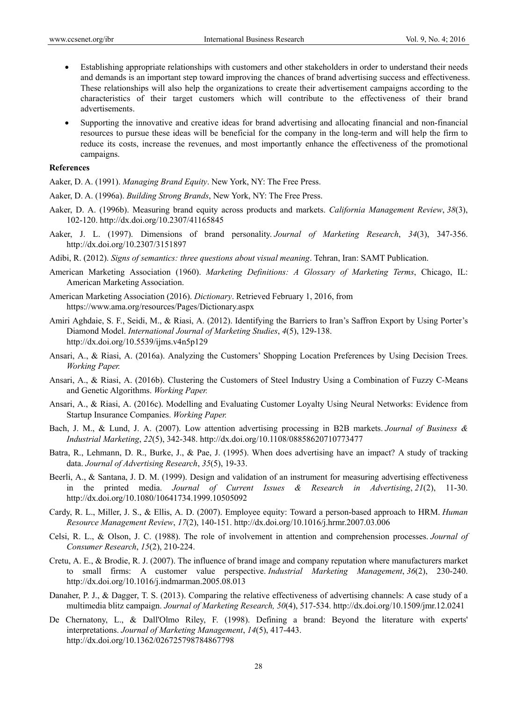- Establishing appropriate relationships with customers and other stakeholders in order to understand their needs and demands is an important step toward improving the chances of brand advertising success and effectiveness. These relationships will also help the organizations to create their advertisement campaigns according to the characteristics of their target customers which will contribute to the effectiveness of their brand advertisements.
- Supporting the innovative and creative ideas for brand advertising and allocating financial and non-financial resources to pursue these ideas will be beneficial for the company in the long-term and will help the firm to reduce its costs, increase the revenues, and most importantly enhance the effectiveness of the promotional campaigns.

## **References**

Aaker, D. A. (1991). *Managing Brand Equity*. New York, NY: The Free Press.

- Aaker, D. A. (1996a). *Building Strong Brands*, New York, NY: The Free Press.
- Aaker, D. A. (1996b). Measuring brand equity across products and markets. *California Management Review*, *38*(3), 102-120. http://dx.doi.org/10.2307/41165845
- Aaker, J. L. (1997). Dimensions of brand personality. *Journal of Marketing Research*, *34*(3), 347-356. http://dx.doi.org/10.2307/3151897
- Adibi, R. (2012). *Signs of semantics: three questions about visual meaning*. Tehran, Iran: SAMT Publication.
- American Marketing Association (1960). *Marketing Definitions: A Glossary of Marketing Terms*, Chicago, IL: American Marketing Association.
- American Marketing Association (2016). *Dictionary*. Retrieved February 1, 2016, from https://www.ama.org/resources/Pages/Dictionary.aspx
- Amiri Aghdaie, S. F., Seidi, M., & Riasi, A. (2012). Identifying the Barriers to Iran's Saffron Export by Using Porter's Diamond Model. *International Journal of Marketing Studies*, *4*(5), 129-138. http://dx.doi.org/10.5539/ijms.v4n5p129
- Ansari, A., & Riasi, A. (2016a). Analyzing the Customers' Shopping Location Preferences by Using Decision Trees. *Working Paper.*
- Ansari, A., & Riasi, A. (2016b). Clustering the Customers of Steel Industry Using a Combination of Fuzzy C-Means and Genetic Algorithms. *Working Paper.*
- Ansari, A., & Riasi, A. (2016c). Modelling and Evaluating Customer Loyalty Using Neural Networks: Evidence from Startup Insurance Companies. *Working Paper.*
- Bach, J. M., & Lund, J. A. (2007). Low attention advertising processing in B2B markets. *Journal of Business & Industrial Marketing*, *22*(5), 342-348. http://dx.doi.org/10.1108/08858620710773477
- Batra, R., Lehmann, D. R., Burke, J., & Pae, J. (1995). When does advertising have an impact? A study of tracking data. *Journal of Advertising Research*, *35*(5), 19-33.
- Beerli, A., & Santana, J. D. M. (1999). Design and validation of an instrument for measuring advertising effectiveness in the printed media. *Journal of Current Issues & Research in Advertising*, *21*(2), 11-30. http://dx.doi.org/10.1080/10641734.1999.10505092
- Cardy, R. L., Miller, J. S., & Ellis, A. D. (2007). Employee equity: Toward a person-based approach to HRM. *Human Resource Management Review*, *17*(2), 140-151. http://dx.doi.org/10.1016/j.hrmr.2007.03.006
- Celsi, R. L., & Olson, J. C. (1988). The role of involvement in attention and comprehension processes. *Journal of Consumer Research*, *15*(2), 210-224.
- Cretu, A. E., & Brodie, R. J. (2007). The influence of brand image and company reputation where manufacturers market to small firms: A customer value perspective. *Industrial Marketing Management*, *36*(2), 230-240. http://dx.doi.org/10.1016/j.indmarman.2005.08.013
- Danaher, P. J., & Dagger, T. S. (2013). Comparing the relative effectiveness of advertising channels: A case study of a multimedia blitz campaign. *Journal of Marketing Research, 50*(4), 517-534. http://dx.doi.org/10.1509/jmr.12.0241
- De Chernatony, L., & Dall'Olmo Riley, F. (1998). Defining a brand: Beyond the literature with experts' interpretations. *Journal of Marketing Management*, *14*(5), 417-443. http://dx.doi.org/10.1362/026725798784867798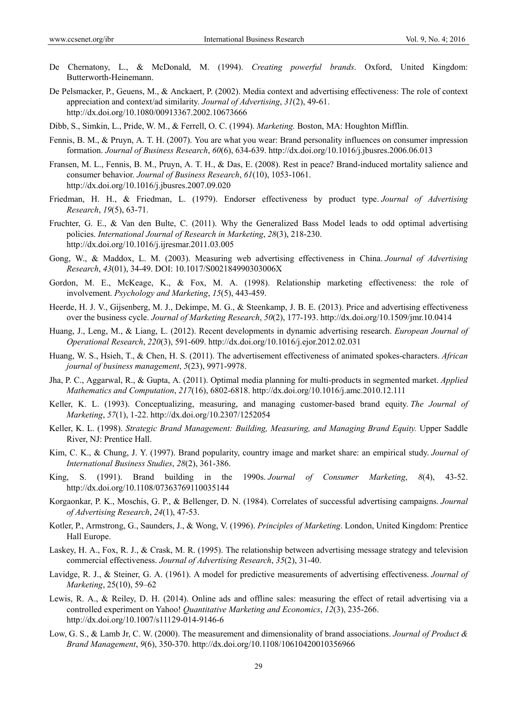- De Chernatony, L., & McDonald, M. (1994). *Creating powerful brands*. Oxford, United Kingdom: Butterworth-Heinemann.
- De Pelsmacker, P., Geuens, M., & Anckaert, P. (2002). Media context and advertising effectiveness: The role of context appreciation and context/ad similarity. *Journal of Advertising*, *31*(2), 49-61. http://dx.doi.org/10.1080/00913367.2002.10673666
- Dibb, S., Simkin, L., Pride, W. M., & Ferrell, O. C. (1994). *Marketing.* Boston, MA: Houghton Mifflin.
- Fennis, B. M., & Pruyn, A. T. H. (2007). You are what you wear: Brand personality influences on consumer impression formation. *Journal of Business Research*, *60*(6), 634-639. http://dx.doi.org/10.1016/j.jbusres.2006.06.013
- Fransen, M. L., Fennis, B. M., Pruyn, A. T. H., & Das, E. (2008). Rest in peace? Brand-induced mortality salience and consumer behavior. *Journal of Business Research*, *61*(10), 1053-1061. http://dx.doi.org/10.1016/j.jbusres.2007.09.020
- Friedman, H. H., & Friedman, L. (1979). Endorser effectiveness by product type. *Journal of Advertising Research*, *19*(5), 63-71.
- Fruchter, G. E., & Van den Bulte, C. (2011). Why the Generalized Bass Model leads to odd optimal advertising policies. *International Journal of Research in Marketing*, *28*(3), 218-230. http://dx.doi.org/10.1016/j.ijresmar.2011.03.005
- Gong, W., & Maddox, L. M. (2003). Measuring web advertising effectiveness in China. *Journal of Advertising Research*, *43*(01), 34-49. DOI: 10.1017/S002184990303006X
- Gordon, M. E., McKeage, K., & Fox, M. A. (1998). Relationship marketing effectiveness: the role of involvement. *Psychology and Marketing*, *15*(5), 443-459.
- Heerde, H. J. V., Gijsenberg, M. J., Dekimpe, M. G., & Steenkamp, J. B. E. (2013). Price and advertising effectiveness over the business cycle. *Journal of Marketing Research*, *50*(2), 177-193. http://dx.doi.org/10.1509/jmr.10.0414
- Huang, J., Leng, M., & Liang, L. (2012). Recent developments in dynamic advertising research. *European Journal of Operational Research*, *220*(3), 591-609. http://dx.doi.org/10.1016/j.ejor.2012.02.031
- Huang, W. S., Hsieh, T., & Chen, H. S. (2011). The advertisement effectiveness of animated spokes-characters. *African journal of business management*, *5*(23), 9971-9978.
- Jha, P. C., Aggarwal, R., & Gupta, A. (2011). Optimal media planning for multi-products in segmented market. *Applied Mathematics and Computation*, *217*(16), 6802-6818. http://dx.doi.org/10.1016/j.amc.2010.12.111
- Keller, K. L. (1993). Conceptualizing, measuring, and managing customer-based brand equity. *The Journal of Marketing*, *57*(1), 1-22. http://dx.doi.org/10.2307/1252054
- Keller, K. L. (1998). *Strategic Brand Management: Building, Measuring, and Managing Brand Equity.* Upper Saddle River, NJ: Prentice Hall.
- Kim, C. K., & Chung, J. Y. (1997). Brand popularity, country image and market share: an empirical study. *Journal of International Business Studies*, *28*(2), 361-386.
- King, S. (1991). Brand building in the 1990s. *Journal of Consumer Marketing*, *8*(4), 43-52. http://dx.doi.org/10.1108/07363769110035144
- Korgaonkar, P. K., Moschis, G. P., & Bellenger, D. N. (1984). Correlates of successful advertising campaigns. *Journal of Advertising Research*, *24*(1), 47-53.
- Kotler, P., Armstrong, G., Saunders, J., & Wong, V. (1996). *Principles of Marketing*. London, United Kingdom: Prentice Hall Europe.
- Laskey, H. A., Fox, R. J., & Crask, M. R. (1995). The relationship between advertising message strategy and television commercial effectiveness. *Journal of Advertising Research*, *35*(2), 31-40.
- Lavidge, R. J., & Steiner, G. A. (1961). A model for predictive measurements of advertising effectiveness. *Journal of Marketing*, 25(10), 59–62
- Lewis, R. A., & Reiley, D. H. (2014). Online ads and offline sales: measuring the effect of retail advertising via a controlled experiment on Yahoo! *Quantitative Marketing and Economics*, *12*(3), 235-266. http://dx.doi.org/10.1007/s11129-014-9146-6
- Low, G. S., & Lamb Jr, C. W. (2000). The measurement and dimensionality of brand associations. *Journal of Product & Brand Management*, *9*(6), 350-370. http://dx.doi.org/10.1108/10610420010356966